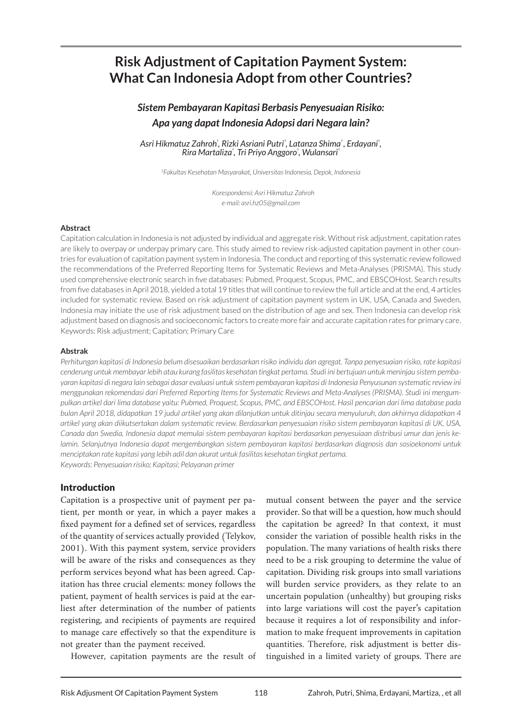# **Risk Adjustment of Capitation Payment System: What Can Indonesia Adopt from other Countries?**

## *Sistem Pembayaran Kapitasi Berbasis Penyesuaian Risiko: Apa yang dapat Indonesia Adopsi dari Negara lain?*

Asri Hikmatuz Zahrohʾ, Rizki Asriani Putriʾ, Latanza Shimaʾ, Erdayaniʾ,  $R$ ira Martaliza<sup>'</sup>, Tri Priyo Anggoro<sup>'</sup>, Wulansari'

*1Fakultas Kesehatan Masyarakat, Universitas Indonesia, Depok, Indonesia*

*Korespondensi: Asri Hikmatuz Zahroh e-mail: asri.hz05@gmail.com*

#### **Abstract**

Capitation calculation in Indonesia is not adjusted by individual and aggregate risk. Without risk adjustment, capitation rates are likely to overpay or underpay primary care. This study aimed to review risk-adjusted capitation payment in other countries for evaluation of capitation payment system in Indonesia. The conduct and reporting of this systematic review followed the recommendations of the Preferred Reporting Items for Systematic Reviews and Meta-Analyses (PRISMA). This study used comprehensive electronic search in five databases: Pubmed, Proquest, Scopus, PMC, and EBSCOHost. Search results from five databases in April 2018, yielded a total 19 titles that will continue to review the full article and at the end, 4 articles included for systematic review. Based on risk adjustment of capitation payment system in UK, USA, Canada and Sweden, Indonesia may initiate the use of risk adjustment based on the distribution of age and sex. Then Indonesia can develop risk adjustment based on diagnosis and socioeconomic factors to create more fair and accurate capitation rates for primary care. Keywords: Risk adjustment; Capitation; Primary Care

#### **Abstrak**

*Perhitungan kapitasi di Indonesia belum disesuaikan berdasarkan risiko individu dan agregat. Tanpa penyesuaian risiko, rate kapitasi cenderung untuk membayar lebih atau kurang fasilitas kesehatan tingkat pertama. Studi ini bertujuan untuk meninjau sistem pembayaran kapitasi di negara lain sebagai dasar evaluasi untuk sistem pembayaran kapitasi di Indonesia Penyusunan systematic review ini menggunakan rekomendasi dari Preferred Reporting Items for Systematic Reviews and Meta-Analyses (PRISMA). Studi ini mengumpulkan artikel dari lima database yaitu: Pubmed, Proquest, Scopus, PMC, and EBSCOHost. Hasil pencarian dari lima database pada bulan April 2018, didapatkan 19 judul artikel yang akan dilanjutkan untuk ditinjau secara menyuluruh, dan akhirnya didapatkan 4 artikel yang akan diikutsertakan dalam systematic review. Berdasarkan penyesuaian risiko sistem pembayaran kapitasi di UK, USA, Canada dan Swedia, Indonesia dapat memulai sistem pembayaran kapitasi berdasarkan penyesuiaan distribusi umur dan jenis kelamin. Selanjutnya Indonesia dapat mengembangkan sistem pembayaran kapitasi berdasarkan diagnosis dan sosioekonomi untuk menciptakan rate kapitasi yang lebih adil dan akurat untuk fasilitas kesehatan tingkat pertama. Keywords: Penyesuaian risiko; Kapitasi; Pelayanan primer*

#### Introduction

Capitation is a prospective unit of payment per patient, per month or year, in which a payer makes a fixed payment for a defined set of services, regardless of the quantity of services actually provided (Telykov, 2001). With this payment system, service providers will be aware of the risks and consequences as they perform services beyond what has been agreed. Capitation has three crucial elements: money follows the patient, payment of health services is paid at the earliest after determination of the number of patients registering, and recipients of payments are required to manage care effectively so that the expenditure is not greater than the payment received.

However, capitation payments are the result of

mutual consent between the payer and the service provider. So that will be a question, how much should the capitation be agreed? In that context, it must consider the variation of possible health risks in the population. The many variations of health risks there need to be a risk grouping to determine the value of capitation. Dividing risk groups into small variations will burden service providers, as they relate to an uncertain population (unhealthy) but grouping risks into large variations will cost the payer's capitation because it requires a lot of responsibility and information to make frequent improvements in capitation quantities. Therefore, risk adjustment is better distinguished in a limited variety of groups. There are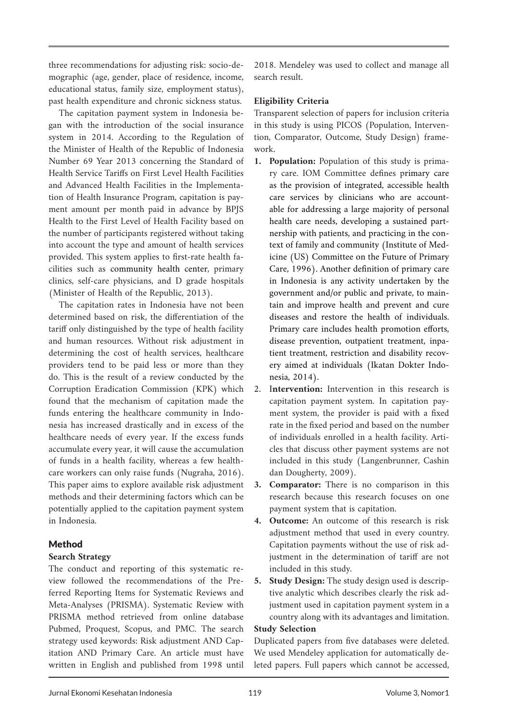three recommendations for adjusting risk: socio-demographic (age, gender, place of residence, income, educational status, family size, employment status), past health expenditure and chronic sickness status.

The capitation payment system in Indonesia began with the introduction of the social insurance system in 2014. According to the Regulation of the Minister of Health of the Republic of Indonesia Number 69 Year 2013 concerning the Standard of Health Service Tariffs on First Level Health Facilities and Advanced Health Facilities in the Implementation of Health Insurance Program, capitation is payment amount per month paid in advance by BPJS Health to the First Level of Health Facility based on the number of participants registered without taking into account the type and amount of health services provided. This system applies to first-rate health facilities such as community health center, primary clinics, self-care physicians, and D grade hospitals (Minister of Health of the Republic, 2013).

The capitation rates in Indonesia have not been determined based on risk, the differentiation of the tariff only distinguished by the type of health facility and human resources. Without risk adjustment in determining the cost of health services, healthcare providers tend to be paid less or more than they do. This is the result of a review conducted by the Corruption Eradication Commission (KPK) which found that the mechanism of capitation made the funds entering the healthcare community in Indonesia has increased drastically and in excess of the healthcare needs of every year. If the excess funds accumulate every year, it will cause the accumulation of funds in a health facility, whereas a few healthcare workers can only raise funds (Nugraha, 2016). This paper aims to explore available risk adjustment methods and their determining factors which can be potentially applied to the capitation payment system in Indonesia.

## Method

## **Search Strategy**

The conduct and reporting of this systematic review followed the recommendations of the Preferred Reporting Items for Systematic Reviews and Meta-Analyses (PRISMA). Systematic Review with PRISMA method retrieved from online database Pubmed, Proquest, Scopus, and PMC. The search strategy used keywords: Risk adjustment AND Capitation AND Primary Care. An article must have written in English and published from 1998 until 2018. Mendeley was used to collect and manage all search result.

## **Eligibility Criteria**

Transparent selection of papers for inclusion criteria in this study is using PICOS (Population, Intervention, Comparator, Outcome, Study Design) framework.

- **1. Population:** Population of this study is primary care. IOM Committee defines primary care as the provision of integrated, accessible health care services by clinicians who are accountable for addressing a large majority of personal health care needs, developing a sustained partnership with patients, and practicing in the context of family and community (Institute of Medicine (US) Committee on the Future of Primary Care, 1996). Another definition of primary care in Indonesia is any activity undertaken by the government and/or public and private, to maintain and improve health and prevent and cure diseases and restore the health of individuals. Primary care includes health promotion efforts, disease prevention, outpatient treatment, inpatient treatment, restriction and disability recovery aimed at individuals (Ikatan Dokter Indonesia, 2014).
- 2. I**ntervention:** Intervention in this research is capitation payment system. In capitation payment system, the provider is paid with a fixed rate in the fixed period and based on the number of individuals enrolled in a health facility. Articles that discuss other payment systems are not included in this study (Langenbrunner, Cashin dan Dougherty, 2009).
- **3. Comparator:** There is no comparison in this research because this research focuses on one payment system that is capitation.
- **4. Outcome:** An outcome of this research is risk adjustment method that used in every country. Capitation payments without the use of risk adjustment in the determination of tariff are not included in this study.
- **5. Study Design:** The study design used is descriptive analytic which describes clearly the risk adjustment used in capitation payment system in a country along with its advantages and limitation.

#### **Study Selection**

Duplicated papers from five databases were deleted. We used Mendeley application for automatically deleted papers. Full papers which cannot be accessed,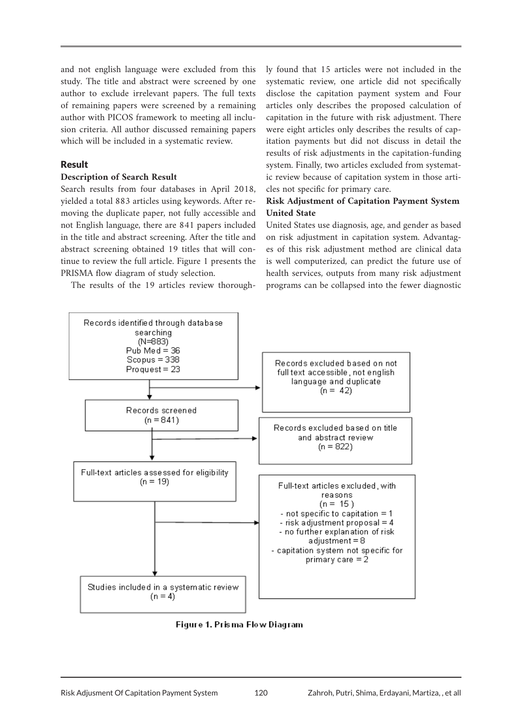and not english language were excluded from this study. The title and abstract were screened by one author to exclude irrelevant papers. The full texts of remaining papers were screened by a remaining author with PICOS framework to meeting all inclusion criteria. All author discussed remaining papers which will be included in a systematic review.

## Result

#### **Description of Search Result**

Search results from four databases in April 2018, yielded a total 883 articles using keywords. After removing the duplicate paper, not fully accessible and not English language, there are 841 papers included in the title and abstract screening. After the title and abstract screening obtained 19 titles that will continue to review the full article. Figure 1 presents the PRISMA flow diagram of study selection.

The results of the 19 articles review thorough-

ly found that 15 articles were not included in the systematic review, one article did not specifically disclose the capitation payment system and Four articles only describes the proposed calculation of capitation in the future with risk adjustment. There were eight articles only describes the results of capitation payments but did not discuss in detail the results of risk adjustments in the capitation-funding system. Finally, two articles excluded from systematic review because of capitation system in those articles not specific for primary care.

## **Risk Adjustment of Capitation Payment System United State**

United States use diagnosis, age, and gender as based on risk adjustment in capitation system. Advantages of this risk adjustment method are clinical data is well computerized, can predict the future use of health services, outputs from many risk adjustment programs can be collapsed into the fewer diagnostic



Figure 1. Prisma Flow Diagram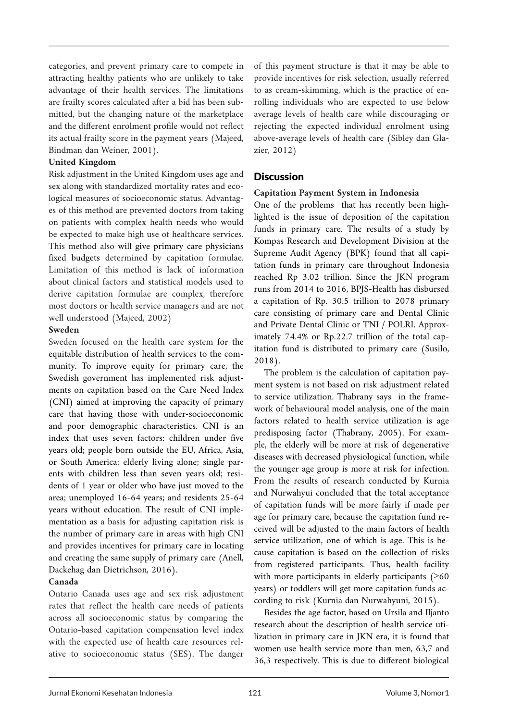categories, and prevent primary care to compete in attracting healthy patients who are unlikely to take advantage of their health services. The limitations are frailty scores calculated after a bid has been submitted, but the changing nature of the marketplace and the different enrolment profile would not reflect its actual frailty score in the payment years (Majeed, Bindman dan Weiner, 2001).

#### **United Kingdom**

Risk adjustment in the United Kingdom uses age and sex along with standardized mortality rates and ecological measures of socioeconomic status. Advantages of this method are prevented doctors from taking on patients with complex health needs who would be expected to make high use of healthcare services. This method also will give primary care physicians fixed budgets determined by capitation formulae. Limitation of this method is lack of information about clinical factors and statistical models used to derive capitation formulae are complex, therefore most doctors or health service managers and are not well understood (Majeed, 2002)

#### **Sweden**

Sweden focused on the health care system for the equitable distribution of health services to the community. To improve equity for primary care, the Swedish government has implemented risk adjustments on capitation based on the Care Need Index (CNI) aimed at improving the capacity of primary care that having those with under-socioeconomic and poor demographic characteristics. CNI is an index that uses seven factors: children under five years old; people born outside the EU, Africa, Asia, or South America; elderly living alone; single parents with children less than seven years old; residents of 1 year or older who have just moved to the area; unemployed 16-64 years; and residents 25-64 years without education. The result of CNI implementation as a basis for adjusting capitation risk is the number of primary care in areas with high CNI and provides incentives for primary care in locating and creating the same supply of primary care (Anell, Dackehag dan Dietrichson, 2016).

## **Canada**

Ontario Canada uses age and sex risk adjustment rates that reflect the health care needs of patients across all socioeconomic status by comparing the Ontario-based capitation compensation level index with the expected use of health care resources relative to socioeconomic status (SES). The danger of this payment structure is that it may be able to provide incentives for risk selection, usually referred to as cream-skimming, which is the practice of enrolling individuals who are expected to use below average levels of health care while discouraging or rejecting the expected individual enrolment using above-average levels of health care (Sibley dan Glazier, 2012)

## **Discussion**

## **Capitation Payment System in Indonesia**

One of the problems that has recently been highlighted is the issue of deposition of the capitation funds in primary care. The results of a study by Kompas Research and Development Division at the Supreme Audit Agency (BPK) found that all capitation funds in primary care throughout Indonesia reached Rp 3.02 trillion. Since the JKN program runs from 2014 to 2016, BPJS-Health has disbursed a capitation of Rp. 30.5 trillion to 2078 primary care consisting of primary care and Dental Clinic and Private Dental Clinic or TNI / POLRI. Approximately 74.4% or Rp.22.7 trillion of the total capitation fund is distributed to primary care (Susilo, 2018).

The problem is the calculation of capitation payment system is not based on risk adjustment related to service utilization. Thabrany says in the framework of behavioural model analysis, one of the main factors related to health service utilization is age predisposing factor (Thabrany, 2005). For example, the elderly will be more at risk of degenerative diseases with decreased physiological function, while the younger age group is more at risk for infection. From the results of research conducted by Kurnia and Nurwahyui concluded that the total acceptance of capitation funds will be more fairly if made per age for primary care, because the capitation fund received will be adjusted to the main factors of health service utilization, one of which is age. This is because capitation is based on the collection of risks from registered participants. Thus, health facility with more participants in elderly participants  $(≥60$ years) or toddlers will get more capitation funds according to risk (Kurnia dan Nurwahyuni, 2015).

Besides the age factor, based on Ursila and Iljanto research about the description of health service utilization in primary care in JKN era, it is found that women use health service more than men, 63,7 and 36,3 respectively. This is due to different biological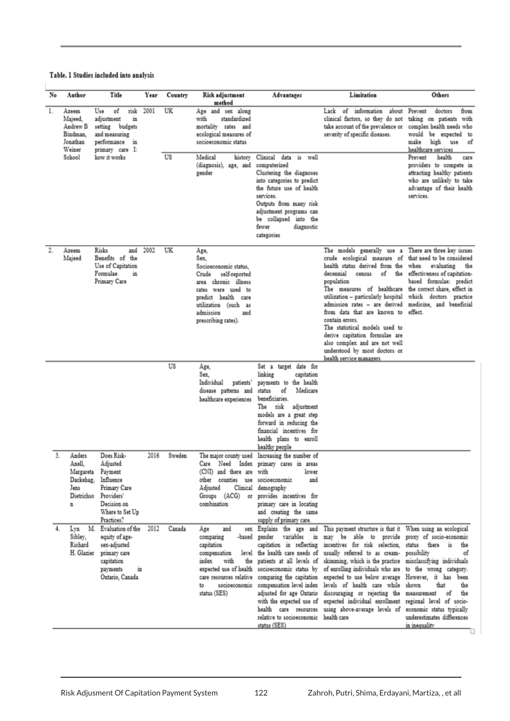#### Table. 1 Studies included into analysis

| No               | Author                                                         | Title                                                                                                                                  | Year | Country  | Risk adjustment<br>method                                                                                                                                                                               | Advantages                                                                                                                                                                                                                                                                        | Limitation                                                                                                                                                                                                                                                                                                                                                                                                                                                                                                                                                                                                                                                                                                                                                                                                                                                                | Others                                                                                                                                                           |
|------------------|----------------------------------------------------------------|----------------------------------------------------------------------------------------------------------------------------------------|------|----------|---------------------------------------------------------------------------------------------------------------------------------------------------------------------------------------------------------|-----------------------------------------------------------------------------------------------------------------------------------------------------------------------------------------------------------------------------------------------------------------------------------|---------------------------------------------------------------------------------------------------------------------------------------------------------------------------------------------------------------------------------------------------------------------------------------------------------------------------------------------------------------------------------------------------------------------------------------------------------------------------------------------------------------------------------------------------------------------------------------------------------------------------------------------------------------------------------------------------------------------------------------------------------------------------------------------------------------------------------------------------------------------------|------------------------------------------------------------------------------------------------------------------------------------------------------------------|
| 1.               | Azeem<br>Majeed.<br>Andrew B<br>Bindman,<br>Jonathan<br>Weiner | ٥f<br>risk<br>Use<br>adjustment<br>in<br>setting budgets<br>and measuring<br>performance in<br>primary care I:                         | 2001 | UK<br>US | Age and sex along<br>with<br>standardized<br>mortality rates and<br>ecological measures of<br>socioeconomic status                                                                                      |                                                                                                                                                                                                                                                                                   | Lack of<br>information<br>clinical factors, so they do not<br>take account of the prevalence or<br>severity of specific diseases.                                                                                                                                                                                                                                                                                                                                                                                                                                                                                                                                                                                                                                                                                                                                         | about Prevent<br>doctors<br>from<br>taking on patients with<br>complex health needs who<br>would be expected to<br>high use<br>of<br>make<br>healthcare services |
|                  | School                                                         | how it works                                                                                                                           |      |          | Medical<br>history<br>(diagnosis), age, and<br>gender                                                                                                                                                   | Clinical data<br>is well<br>computerized<br>Clustering the diagnoses<br>into categories to predict<br>the future use of health<br>services.<br>Outputs from many risk<br>adjustment programs can<br>be collapsed into the<br>fewer<br>diagnostic<br>categories                    |                                                                                                                                                                                                                                                                                                                                                                                                                                                                                                                                                                                                                                                                                                                                                                                                                                                                           | health<br>Prevent<br>care<br>providers to compete in<br>attracting healthy patients<br>who are unlikely to take<br>advantage of their health<br>services.        |
| $\overline{2}$ . | Azeem<br>Majeed                                                | Risks<br>and<br>Benefits of<br>the<br>Use of Capitation<br>Formulae<br>in<br>Primary Care                                              | 2002 | UK       | Age,<br>Sex.<br>Socioeconomic status,<br>Crude<br>self-reported<br>area chronic illness<br>rates were used to<br>predict health care<br>utilization (such as<br>admission<br>and<br>prescribing rates). |                                                                                                                                                                                                                                                                                   | The models generally use a There are three key issues<br>crude ecological measure of that need to be considered<br>health status derived from the<br>decennial<br>of<br>census<br>population<br>The measures of healthcare the correct share, effect in<br>utilization - particularly hospital which doctors practice<br>admission rates - are derived medicine, and beneficial<br>from data that are known to effect.<br>contain errors.<br>The statistical models used to<br>derive capitation formulae are<br>also complex and are not well<br>understood by most doctors or<br>health service managers                                                                                                                                                                                                                                                                | when<br>evaluating<br>the<br>the effectiveness of capitation-<br>based formulae: predict                                                                         |
|                  |                                                                |                                                                                                                                        |      | US       | Age,<br>Sex.<br>Individual<br>patients'<br>disease patterns and<br>healthcare experiences                                                                                                               | Set a target date for<br>linking<br>capitation<br>payments to the health<br>Medicare<br>of<br>status<br>beneficiaries.<br>The<br>risk<br>adjustment<br>models are a great step<br>forward in reducing the<br>financial incentives for<br>health plans to enroll<br>healthy people |                                                                                                                                                                                                                                                                                                                                                                                                                                                                                                                                                                                                                                                                                                                                                                                                                                                                           |                                                                                                                                                                  |
| 3.               | Anders<br>Anell.<br>Dackehag,<br>Jens<br>Dietrichso<br>n       | Does Risk-<br>Adjusted<br>Margareta Payment<br>Influence<br>Primary Care<br>Providers'<br>Decision on<br>Where to Set Up<br>Practices? | 2016 | Sweden   | The major county used<br>Care Need<br>Index<br>(CNI) and there are<br>other counties<br>use<br>Adjusted<br>Groups (ACG)<br>combination                                                                  | Increasing the number of<br>primary cares in areas<br>lower<br>with<br>socioeconomic<br>and<br>Clinical demography<br>or provides incentives for<br>primary care in locating<br>and creating the same<br>supply of primary care.                                                  |                                                                                                                                                                                                                                                                                                                                                                                                                                                                                                                                                                                                                                                                                                                                                                                                                                                                           |                                                                                                                                                                  |
| 4.               | Lvn<br>Sibley,<br>Richard<br>H. Glazier                        | M. Evaluation of the<br>equity of age-<br>sex-adjusted<br>primary care<br>capitation<br>payments<br>in<br>Ontario, Canada              | 2012 | Canada   | and<br>Age<br>sex<br>comparing<br>-based<br>capitation<br>compensation<br>level<br>index<br>with<br>the<br>expected use of health<br>care resources relative<br>socioeconomic<br>to<br>status (SES)     | relative to socioeconomic health care<br>status (SES)                                                                                                                                                                                                                             | Explains the age and This payment structure is that it When using an ecological<br>gender variables in may be able to provide proxy of socio-economic<br>capitation in reflecting incentives for risk selection, status there is<br>the health care needs of usually referred to as cream- possibility<br>patients at all levels of skimming, which is the practice misclassifying individuals<br>socioeconomic status by of enrolling individuals who are to the wrong category.<br>comparing the capitation expected to use below average However, it has been<br>compensation level index levels of health care while shown<br>adjusted for age Ontario discouraging or rejecting the measurement<br>with the expected use of expected individual enrollment regional level of socio-<br>health care resources using above-average levels of economic status typically | the<br>оf<br>the<br>that<br>the<br>ōf<br>underestimates differences<br>in inequality                                                                             |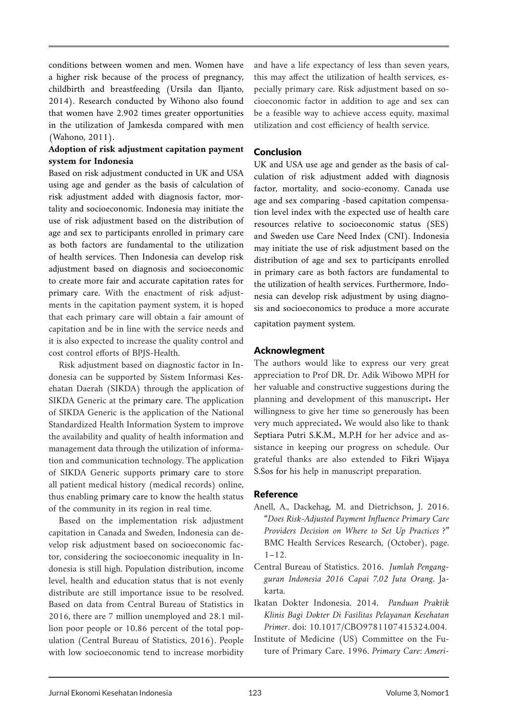conditions between women and men. Women have a higher risk because of the process of pregnancy, childbirth and breastfeeding (Ursila dan Iljanto, 2014). Research conducted by Wihono also found that women have 2.902 times greater opportunities in the utilization of Jamkesda compared with men (Wahono, 2011).

## **Adoption of risk adjustment capitation payment system for Indonesia**

Based on risk adjustment conducted in UK and USA using age and gender as the basis of calculation of risk adjustment added with diagnosis factor, mortality and socioeconomic. Indonesia may initiate the use of risk adjustment based on the distribution of age and sex to participants enrolled in primary care as both factors are fundamental to the utilization of health services. Then Indonesia can develop risk adjustment based on diagnosis and socioeconomic to create more fair and accurate capitation rates for primary care. With the enactment of risk adjustments in the capitation payment system, it is hoped that each primary care will obtain a fair amount of capitation and be in line with the service needs and it is also expected to increase the quality control and cost control efforts of BPJS-Health.

Risk adjustment based on diagnostic factor in Indonesia can be supported by Sistem Informasi Kesehatan Daerah (SIKDA) through the application of SIKDA Generic at the primary care. The application of SIKDA Generic is the application of the National Standardized Health Information System to improve the availability and quality of health information and management data through the utilization of information and communication technology. The application of SIKDA Generic supports primary care to store all patient medical history (medical records) online, thus enabling primary care to know the health status of the community in its region in real time.

Based on the implementation risk adjustment capitation in Canada and Sweden, Indonesia can develop risk adjustment based on socioeconomic factor, considering the socioeconomic inequality in Indonesia is still high. Population distribution, income level, health and education status that is not evenly distribute are still importance issue to be resolved. Based on data from Central Bureau of Statistics in 2016, there are 7 million unemployed and 28.1 million poor people or 10.86 percent of the total population (Central Bureau of Statistics, 2016). People with low socioeconomic tend to increase morbidity

and have a life expectancy of less than seven years, this may affect the utilization of health services, especially primary care. Risk adjustment based on socioeconomic factor in addition to age and sex can be a feasible way to achieve access equity, maximal utilization and cost efficiency of health service.

## Conclusion

UK and USA use age and gender as the basis of calculation of risk adjustment added with diagnosis factor, mortality, and socio-economy. Canada use age and sex comparing -based capitation compensation level index with the expected use of health care resources relative to socioeconomic status (SES) and Sweden use Care Need Index (CNI). Indonesia may initiate the use of risk adjustment based on the distribution of age and sex to participants enrolled in primary care as both factors are fundamental to the utilization of health services. Furthermore, Indonesia can develop risk adjustment by using diagnosis and socioeconomics to produce a more accurate capitation payment system.

## Acknowlegment

The authors would like to express our very great appreciation to Prof DR. Dr. Adik Wibowo MPH for her valuable and constructive suggestions during the planning and development of this manuscript. Her willingness to give her time so generously has been very much appreciated. We would also like to thank Septiara Putri S.K.M., M.P.H for her advice and assistance in keeping our progress on schedule. Our grateful thanks are also extended to Fikri Wijaya S.Sos for his help in manuscript preparation.

## Reference

- Anell, A., Dackehag, M. and Dietrichson, J. 2016. *"Does Risk-Adjusted Payment Influence Primary Care Providers Decision on Where to Set Up Practices ?*" BMC Health Services Research, (October), page.  $1 - 12$ .
- Central Bureau of Statistics. 2016. *Jumlah Pengangguran Indonesia 2016 Capai 7,02 Juta Orang*. Jakarta.
- Ikatan Dokter Indonesia. 2014. *Panduan Praktik Klinis Bagi Dokter Di Fasilitas Pelayanan Kesehatan Primer*. doi: 10.1017/CBO9781107415324.004.
- Institute of Medicine (US) Committee on the Future of Primary Care. 1996. *Primary Care: Ameri-*